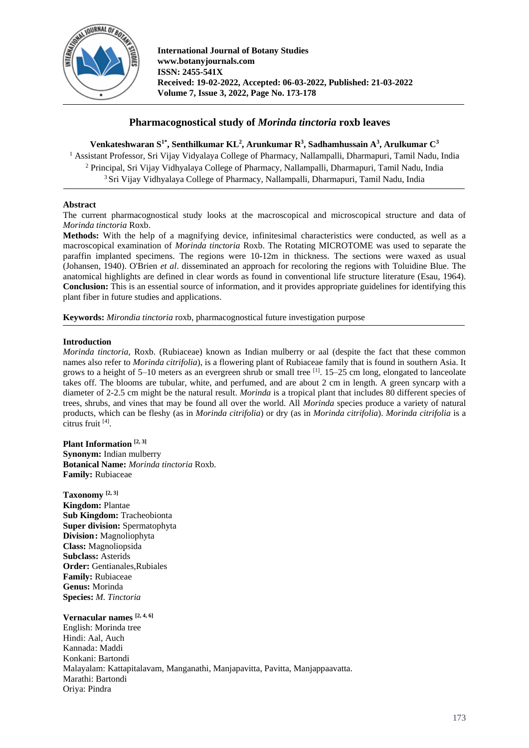

# **Pharmacognostical study of** *Morinda tinctoria* **roxb leaves**

**Venkateshwaran S1\* , Senthilkumar KL 2 , Arunkumar R<sup>3</sup> , Sadhamhussain A<sup>3</sup> , Arulkumar C<sup>3</sup>** <sup>1</sup> Assistant Professor, Sri Vijay Vidyalaya College of Pharmacy, Nallampalli, Dharmapuri, Tamil Nadu, India <sup>2</sup> Principal, Sri Vijay Vidhyalaya College of Pharmacy, Nallampalli, Dharmapuri, Tamil Nadu, India <sup>3</sup> Sri Vijay Vidhyalaya College of Pharmacy, Nallampalli, Dharmapuri, Tamil Nadu, India

## **Abstract**

The current pharmacognostical study looks at the macroscopical and microscopical structure and data of *Morinda tinctoria* Roxb.

**Methods:** With the help of a magnifying device, infinitesimal characteristics were conducted, as well as a macroscopical examination of *Morinda tinctoria* Roxb. The Rotating MICROTOME was used to separate the paraffin implanted specimens. The regions were 10-12m in thickness. The sections were waxed as usual (Johansen, 1940). O'Brien *et al*. disseminated an approach for recoloring the regions with Toluidine Blue. The anatomical highlights are defined in clear words as found in conventional life structure literature (Esau, 1964). **Conclusion:** This is an essential source of information, and it provides appropriate guidelines for identifying this plant fiber in future studies and applications.

**Keywords:** *Mirondia tinctoria* roxb, pharmacognostical future investigation purpose

## **Introduction**

*Morinda tinctoria,* Roxb. (Rubiaceae) known as Indian mulberry or aal (despite the fact that these common names also refer to *Morinda citrifolia*), is a flowering plant of Rubiaceae family that is found in southern Asia. It grows to a height of 5–10 meters as an evergreen shrub or small tree [1]. 15–25 cm long, elongated to lanceolate takes off. The blooms are tubular, white, and perfumed, and are about 2 cm in length. A green syncarp with a diameter of 2-2.5 cm might be the natural result. *Morinda* is a tropical plant that includes 80 different species of trees, shrubs, and vines that may be found all over the world. All *Morinda* species produce a variety of natural products, which can be fleshy (as in *Morinda citrifolia*) or dry (as in *Morinda citrifolia*). *Morinda citrifolia* is a citrus fruit [4] .

**Plant Information [2, 3] Synonym:** Indian mulberry **Botanical Name:** *Morinda tinctoria* Roxb. **Family:** Rubiaceae

**Taxonomy [2, 3] Kingdom:** Plantae **Sub Kingdom:** Tracheobionta **Super division:** Spermatophyta **Division:** Magnoliophyta **Class:** Magnoliopsida **Subclass:** Asterids **Order:** Gentianales,Rubiales **Family:** Rubiaceae **Genus:** Morinda **Species:** *M. Tinctoria*

**Vernacular names [2, 4, 6]** English: Morinda tree Hindi: Aal, Auch Kannada: Maddi Konkani: Bartondi Malayalam: Kattapitalavam, Manganathi, Manjapavitta, Pavitta, Manjappaavatta. Marathi: Bartondi Oriya: Pindra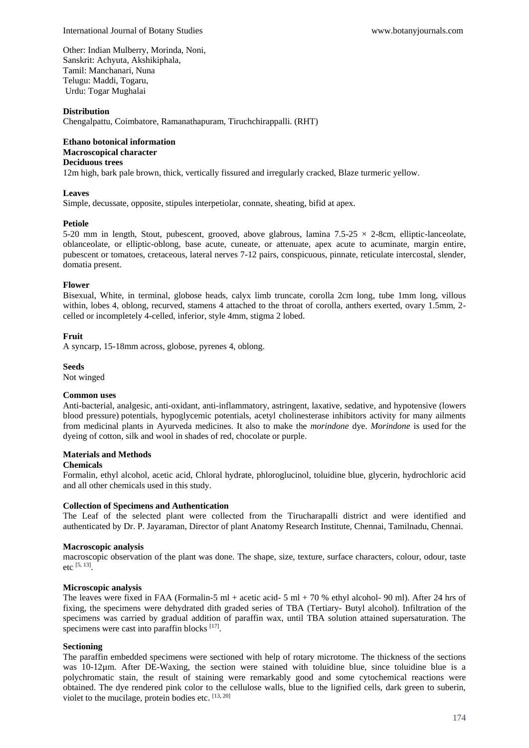Other: Indian Mulberry, Morinda, Noni, Sanskrit: Achyuta, Akshikiphala, Tamil: Manchanari, Nuna Telugu: Maddi, Togaru, Urdu: Togar Mughalai

#### **Distribution**

Chengalpattu, Coimbatore, Ramanathapuram, Tiruchchirappalli. (RHT)

# **Ethano botonical information Macroscopical character**

# **Deciduous trees**

12m high, bark pale brown, thick, vertically fissured and irregularly cracked, Blaze turmeric yellow.

#### **Leaves**

Simple, decussate, opposite, stipules interpetiolar, connate, sheating, bifid at apex.

#### **Petiole**

5-20 mm in length, Stout, pubescent, grooved, above glabrous, lamina 7.5-25  $\times$  2-8cm, elliptic-lanceolate, oblanceolate, or elliptic-oblong, base acute, cuneate, or attenuate, apex acute to acuminate, margin entire, pubescent or tomatoes, cretaceous, lateral nerves 7-12 pairs, conspicuous, pinnate, reticulate intercostal, slender, domatia present.

#### **Flower**

Bisexual, White, in terminal, globose heads, calyx limb truncate, corolla 2cm long, tube 1mm long, villous within, lobes 4, oblong, recurved, stamens 4 attached to the throat of corolla, anthers exerted, ovary 1.5mm, 2celled or incompletely 4-celled, inferior, style 4mm, stigma 2 lobed.

#### **Fruit**

A syncarp, 15-18mm across, globose, pyrenes 4, oblong.

#### **Seeds**

Not winged

#### **Common uses**

Anti-bacterial, analgesic, anti-oxidant, anti-inflammatory, astringent, laxative, sedative, and hypotensive (lowers blood pressure) potentials, hypoglycemic potentials, acetyl cholinesterase inhibitors activity for many ailments from medicinal plants in Ayurveda medicines. It also to make the *morindone* dye. *Morindone* is used for the dyeing of cotton, silk and wool in shades of red, chocolate or purple.

## **Materials and Methods**

### **Chemicals**

Formalin, ethyl alcohol, acetic acid, Chloral hydrate, phloroglucinol, toluidine blue, glycerin, hydrochloric acid and all other chemicals used in this study.

#### **Collection of Specimens and Authentication**

The Leaf of the selected plant were collected from the Tirucharapalli district and were identified and authenticated by Dr. P. Jayaraman, Director of plant Anatomy Research Institute, Chennai, Tamilnadu, Chennai.

#### **Macroscopic analysis**

macroscopic observation of the plant was done. The shape, size, texture, surface characters, colour, odour, taste etc [5, 13] .

#### **Microscopic analysis**

The leaves were fixed in FAA (Formalin-5 ml + acetic acid- 5 ml + 70 % ethyl alcohol- 90 ml). After 24 hrs of fixing, the specimens were dehydrated dith graded series of TBA (Tertiary- Butyl alcohol). Infiltration of the specimens was carried by gradual addition of paraffin wax, until TBA solution attained supersaturation. The specimens were cast into paraffin blocks [17].

#### **Sectioning**

The paraffin embedded specimens were sectioned with help of rotary microtome. The thickness of the sections was 10-12µm. After DE-Waxing, the section were stained with toluidine blue, since toluidine blue is a polychromatic stain, the result of staining were remarkably good and some cytochemical reactions were obtained. The dye rendered pink color to the cellulose walls, blue to the lignified cells, dark green to suberin, violet to the mucilage, protein bodies etc. [13, 20]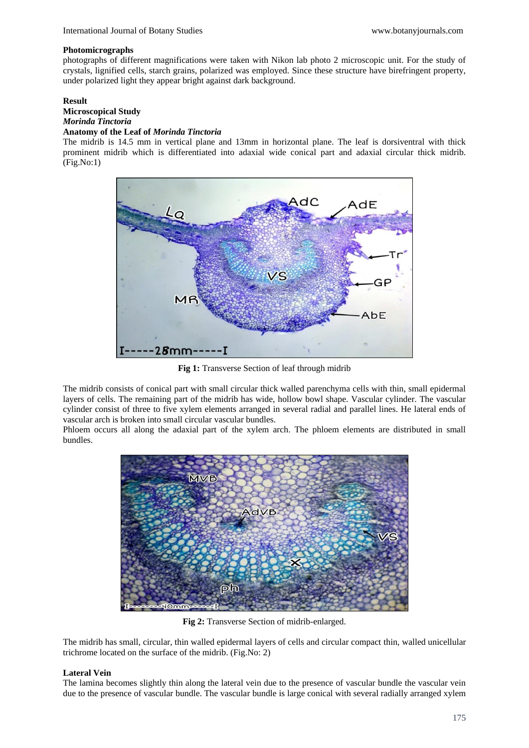#### **Photomicrographs**

photographs of different magnifications were taken with Nikon lab photo 2 microscopic unit. For the study of crystals, lignified cells, starch grains, polarized was employed. Since these structure have birefringent property, under polarized light they appear bright against dark background.

## **Result**

#### **Microscopical Study** *Morinda Tinctoria*

## **Anatomy of the Leaf of** *Morinda Tinctoria*

The midrib is 14.5 mm in vertical plane and 13mm in horizontal plane. The leaf is dorsiventral with thick prominent midrib which is differentiated into adaxial wide conical part and adaxial circular thick midrib. (Fig.No:1)



Fig 1: Transverse Section of leaf through midrib

The midrib consists of conical part with small circular thick walled parenchyma cells with thin, small epidermal layers of cells. The remaining part of the midrib has wide, hollow bowl shape. Vascular cylinder. The vascular cylinder consist of three to five xylem elements arranged in several radial and parallel lines. He lateral ends of vascular arch is broken into small circular vascular bundles.

Phloem occurs all along the adaxial part of the xylem arch. The phloem elements are distributed in small bundles.



**Fig 2:** Transverse Section of midrib-enlarged.

The midrib has small, circular, thin walled epidermal layers of cells and circular compact thin, walled unicellular trichrome located on the surface of the midrib. (Fig.No: 2)

## **Lateral Vein**

The lamina becomes slightly thin along the lateral vein due to the presence of vascular bundle the vascular vein due to the presence of vascular bundle. The vascular bundle is large conical with several radially arranged xylem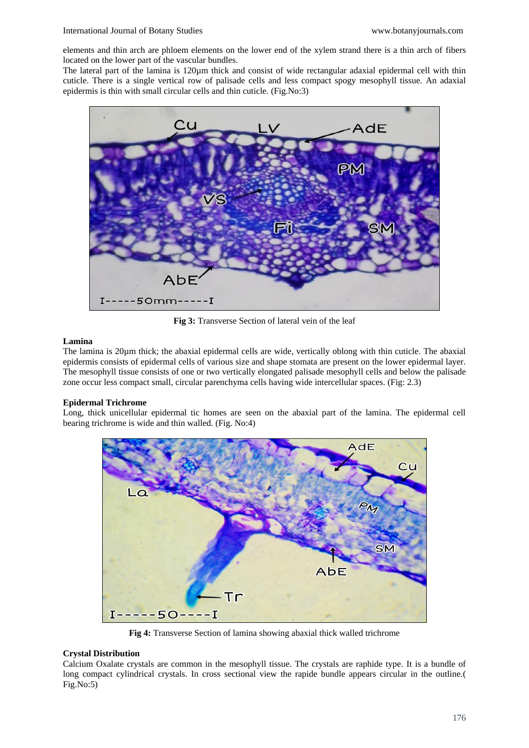elements and thin arch are phloem elements on the lower end of the xylem strand there is a thin arch of fibers located on the lower part of the vascular bundles.

The lateral part of the lamina is 120µm thick and consist of wide rectangular adaxial epidermal cell with thin cuticle. There is a single vertical row of palisade cells and less compact spogy mesophyll tissue. An adaxial epidermis is thin with small circular cells and thin cuticle. (Fig.No:3)



**Fig 3:** Transverse Section of lateral vein of the leaf

## **Lamina**

The lamina is 20um thick; the abaxial epidermal cells are wide, vertically oblong with thin cuticle. The abaxial epidermis consists of epidermal cells of various size and shape stomata are present on the lower epidermal layer. The mesophyll tissue consists of one or two vertically elongated palisade mesophyll cells and below the palisade zone occur less compact small, circular parenchyma cells having wide intercellular spaces. (Fig: 2.3)

## **Epidermal Trichrome**

Long, thick unicellular epidermal tic homes are seen on the abaxial part of the lamina. The epidermal cell bearing trichrome is wide and thin walled. (Fig. No:4)



**Fig 4:** Transverse Section of lamina showing abaxial thick walled trichrome

## **Crystal Distribution**

Calcium Oxalate crystals are common in the mesophyll tissue. The crystals are raphide type. It is a bundle of long compact cylindrical crystals. In cross sectional view the rapide bundle appears circular in the outline.( Fig.No:5)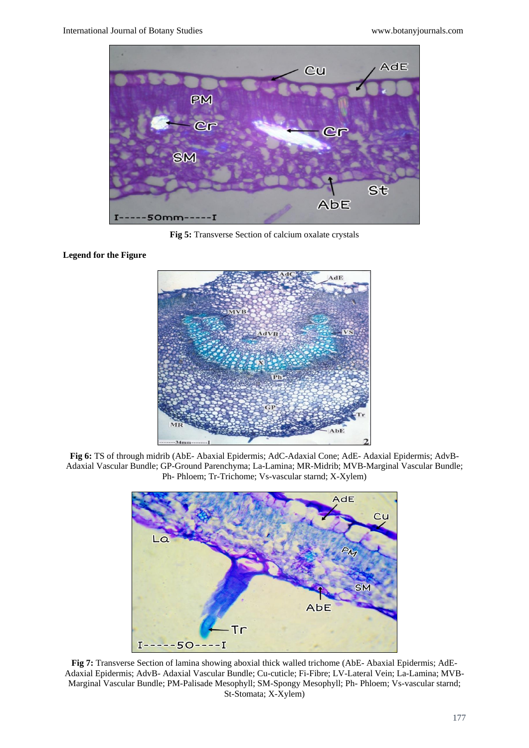

**Fig 5:** Transverse Section of calcium oxalate crystals

 $dE$ 

**Fig 6:** TS of through midrib (AbE- Abaxial Epidermis; AdC-Adaxial Cone; AdE- Adaxial Epidermis; AdvB-Adaxial Vascular Bundle; GP-Ground Parenchyma; La-Lamina; MR-Midrib; MVB-Marginal Vascular Bundle; Ph- Phloem; Tr-Trichome; Vs-vascular starnd; X-Xylem)



**Fig 7:** Transverse Section of lamina showing aboxial thick walled trichome (AbE- Abaxial Epidermis; AdE-Adaxial Epidermis; AdvB- Adaxial Vascular Bundle; Cu-cuticle; Fi-Fibre; LV-Lateral Vein; La-Lamina; MVB-Marginal Vascular Bundle; PM-Palisade Mesophyll; SM-Spongy Mesophyll; Ph- Phloem; Vs-vascular starnd; St-Stomata; X-Xylem)

## **Legend for the Figure**